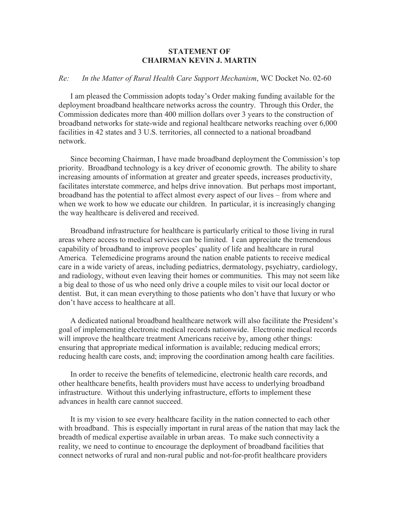## **STATEMENT OF CHAIRMAN KEVIN J. MARTIN**

## *Re: In the Matter of Rural Health Care Support Mechanism*, WC Docket No. 02-60

I am pleased the Commission adopts today's Order making funding available for the deployment broadband healthcare networks across the country. Through this Order, the Commission dedicates more than 400 million dollars over 3 years to the construction of broadband networks for state-wide and regional healthcare networks reaching over 6,000 facilities in 42 states and 3 U.S. territories, all connected to a national broadband network.

Since becoming Chairman, I have made broadband deployment the Commission's top priority. Broadband technology is a key driver of economic growth. The ability to share increasing amounts of information at greater and greater speeds, increases productivity, facilitates interstate commerce, and helps drive innovation. But perhaps most important, broadband has the potential to affect almost every aspect of our lives – from where and when we work to how we educate our children. In particular, it is increasingly changing the way healthcare is delivered and received.

Broadband infrastructure for healthcare is particularly critical to those living in rural areas where access to medical services can be limited. I can appreciate the tremendous capability of broadband to improve peoples' quality of life and healthcare in rural America. Telemedicine programs around the nation enable patients to receive medical care in a wide variety of areas, including pediatrics, dermatology, psychiatry, cardiology, and radiology, without even leaving their homes or communities. This may not seem like a big deal to those of us who need only drive a couple miles to visit our local doctor or dentist. But, it can mean everything to those patients who don't have that luxury or who don't have access to healthcare at all.

A dedicated national broadband healthcare network will also facilitate the President's goal of implementing electronic medical records nationwide. Electronic medical records will improve the healthcare treatment Americans receive by, among other things: ensuring that appropriate medical information is available; reducing medical errors; reducing health care costs, and; improving the coordination among health care facilities.

In order to receive the benefits of telemedicine, electronic health care records, and other healthcare benefits, health providers must have access to underlying broadband infrastructure. Without this underlying infrastructure, efforts to implement these advances in health care cannot succeed.

It is my vision to see every healthcare facility in the nation connected to each other with broadband. This is especially important in rural areas of the nation that may lack the breadth of medical expertise available in urban areas. To make such connectivity a reality, we need to continue to encourage the deployment of broadband facilities that connect networks of rural and non-rural public and not-for-profit healthcare providers